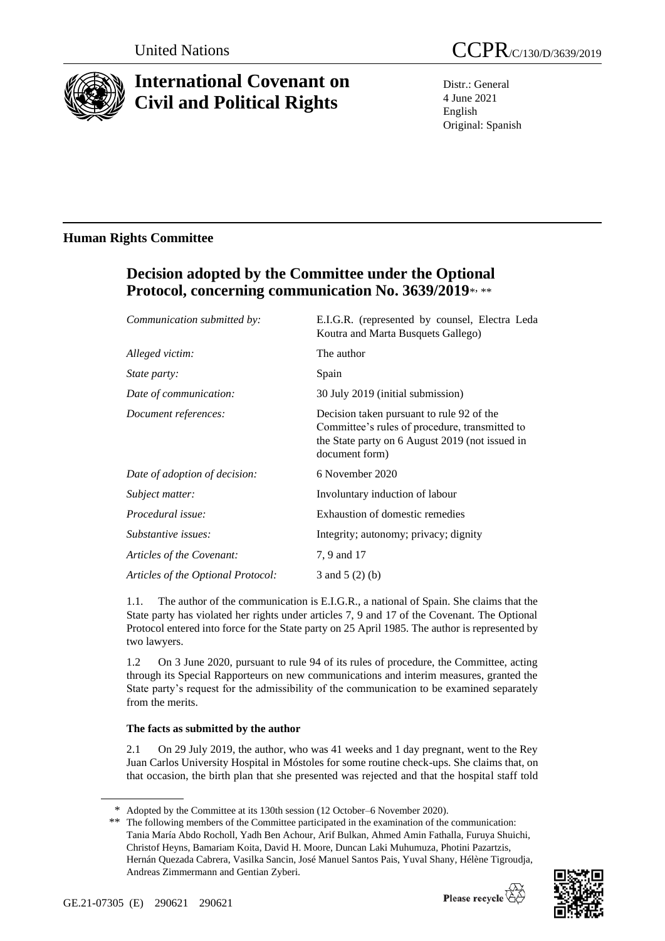

# **International Covenant on Civil and Political Rights**

Distr.: General 4 June 2021 English Original: Spanish

### **Human Rights Committee**

## **Decision adopted by the Committee under the Optional Protocol, concerning communication No. 3639/2019**\* , \*\*

| Communication submitted by:        | E.I.G.R. (represented by counsel, Electra Leda<br>Koutra and Marta Busquets Gallego)                                                                             |
|------------------------------------|------------------------------------------------------------------------------------------------------------------------------------------------------------------|
| Alleged victim:                    | The author                                                                                                                                                       |
| <i>State party:</i>                | Spain                                                                                                                                                            |
| Date of communication:             | 30 July 2019 (initial submission)                                                                                                                                |
| Document references:               | Decision taken pursuant to rule 92 of the<br>Committee's rules of procedure, transmitted to<br>the State party on 6 August 2019 (not issued in<br>document form) |
| Date of adoption of decision:      | 6 November 2020                                                                                                                                                  |
| Subject matter:                    | Involuntary induction of labour                                                                                                                                  |
| Procedural issue:                  | Exhaustion of domestic remedies                                                                                                                                  |
| Substantive issues:                | Integrity; autonomy; privacy; dignity                                                                                                                            |
| Articles of the Covenant:          | 7, 9 and 17                                                                                                                                                      |
| Articles of the Optional Protocol: | 3 and $5(2)(b)$                                                                                                                                                  |

1.1. The author of the communication is E.I.G.R., a national of Spain. She claims that the State party has violated her rights under articles 7, 9 and 17 of the Covenant. The Optional Protocol entered into force for the State party on 25 April 1985. The author is represented by two lawyers.

1.2 On 3 June 2020, pursuant to rule 94 of its rules of procedure, the Committee, acting through its Special Rapporteurs on new communications and interim measures, granted the State party's request for the admissibility of the communication to be examined separately from the merits.

### **The facts as submitted by the author**

2.1 On 29 July 2019, the author, who was 41 weeks and 1 day pregnant, went to the Rey Juan Carlos University Hospital in Móstoles for some routine check-ups. She claims that, on that occasion, the birth plan that she presented was rejected and that the hospital staff told

<sup>\*\*</sup> The following members of the Committee participated in the examination of the communication: Tania María Abdo Rocholl, Yadh Ben Achour, Arif Bulkan, Ahmed Amin Fathalla, Furuya Shuichi, Christof Heyns, Bamariam Koita, David H. Moore, Duncan Laki Muhumuza, Photini Pazartzis, Hernán Quezada Cabrera, Vasilka Sancin, José Manuel Santos Pais, Yuval Shany, Hélène Tigroudja, Andreas Zimmermann and Gentian Zyberi.



<sup>\*</sup> Adopted by the Committee at its 130th session (12 October–6 November 2020).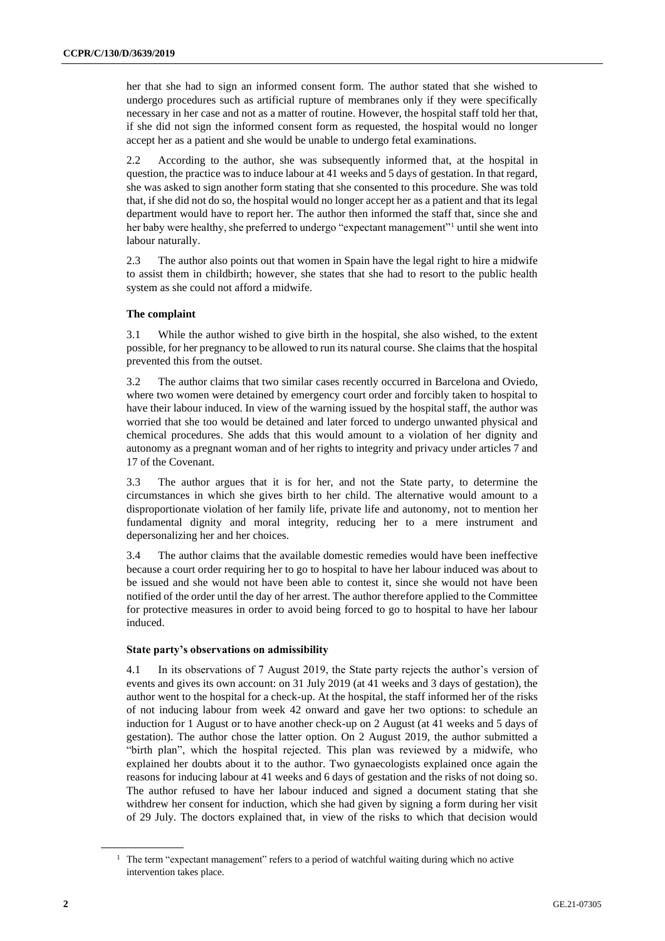her that she had to sign an informed consent form. The author stated that she wished to undergo procedures such as artificial rupture of membranes only if they were specifically necessary in her case and not as a matter of routine. However, the hospital staff told her that, if she did not sign the informed consent form as requested, the hospital would no longer accept her as a patient and she would be unable to undergo fetal examinations.

2.2 According to the author, she was subsequently informed that, at the hospital in question, the practice was to induce labour at 41 weeks and 5 days of gestation. In that regard, she was asked to sign another form stating that she consented to this procedure. She was told that, if she did not do so, the hospital would no longer accept her as a patient and that its legal department would have to report her. The author then informed the staff that, since she and her baby were healthy, she preferred to undergo "expectant management"<sup>1</sup> until she went into labour naturally.

2.3 The author also points out that women in Spain have the legal right to hire a midwife to assist them in childbirth; however, she states that she had to resort to the public health system as she could not afford a midwife.

#### **The complaint**

3.1 While the author wished to give birth in the hospital, she also wished, to the extent possible, for her pregnancy to be allowed to run its natural course. She claims that the hospital prevented this from the outset.

3.2 The author claims that two similar cases recently occurred in Barcelona and Oviedo, where two women were detained by emergency court order and forcibly taken to hospital to have their labour induced. In view of the warning issued by the hospital staff, the author was worried that she too would be detained and later forced to undergo unwanted physical and chemical procedures. She adds that this would amount to a violation of her dignity and autonomy as a pregnant woman and of her rights to integrity and privacy under articles 7 and 17 of the Covenant.

3.3 The author argues that it is for her, and not the State party, to determine the circumstances in which she gives birth to her child. The alternative would amount to a disproportionate violation of her family life, private life and autonomy, not to mention her fundamental dignity and moral integrity, reducing her to a mere instrument and depersonalizing her and her choices.

3.4 The author claims that the available domestic remedies would have been ineffective because a court order requiring her to go to hospital to have her labour induced was about to be issued and she would not have been able to contest it, since she would not have been notified of the order until the day of her arrest. The author therefore applied to the Committee for protective measures in order to avoid being forced to go to hospital to have her labour induced.

#### **State party's observations on admissibility**

4.1 In its observations of 7 August 2019, the State party rejects the author's version of events and gives its own account: on 31 July 2019 (at 41 weeks and 3 days of gestation), the author went to the hospital for a check-up. At the hospital, the staff informed her of the risks of not inducing labour from week 42 onward and gave her two options: to schedule an induction for 1 August or to have another check-up on 2 August (at 41 weeks and 5 days of gestation). The author chose the latter option. On 2 August 2019, the author submitted a "birth plan", which the hospital rejected. This plan was reviewed by a midwife, who explained her doubts about it to the author. Two gynaecologists explained once again the reasons for inducing labour at 41 weeks and 6 days of gestation and the risks of not doing so. The author refused to have her labour induced and signed a document stating that she withdrew her consent for induction, which she had given by signing a form during her visit of 29 July. The doctors explained that, in view of the risks to which that decision would

<sup>&</sup>lt;sup>1</sup> The term "expectant management" refers to a period of watchful waiting during which no active intervention takes place.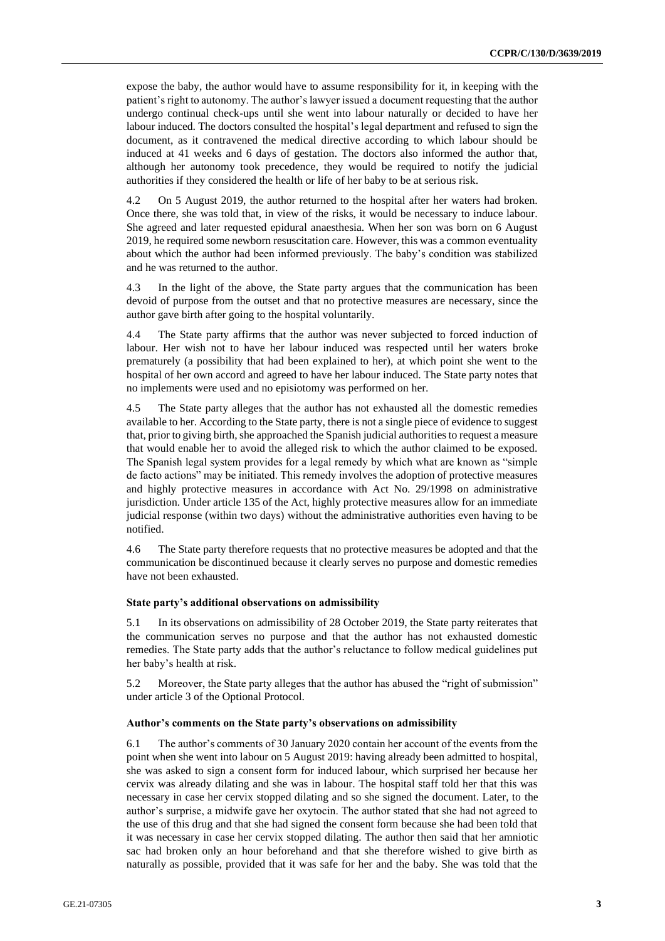expose the baby, the author would have to assume responsibility for it, in keeping with the patient's right to autonomy. The author's lawyer issued a document requesting that the author undergo continual check-ups until she went into labour naturally or decided to have her labour induced. The doctors consulted the hospital's legal department and refused to sign the document, as it contravened the medical directive according to which labour should be induced at 41 weeks and 6 days of gestation. The doctors also informed the author that, although her autonomy took precedence, they would be required to notify the judicial authorities if they considered the health or life of her baby to be at serious risk.

4.2 On 5 August 2019, the author returned to the hospital after her waters had broken. Once there, she was told that, in view of the risks, it would be necessary to induce labour. She agreed and later requested epidural anaesthesia. When her son was born on 6 August 2019, he required some newborn resuscitation care. However, this was a common eventuality about which the author had been informed previously. The baby's condition was stabilized and he was returned to the author.

4.3 In the light of the above, the State party argues that the communication has been devoid of purpose from the outset and that no protective measures are necessary, since the author gave birth after going to the hospital voluntarily.

4.4 The State party affirms that the author was never subjected to forced induction of labour. Her wish not to have her labour induced was respected until her waters broke prematurely (a possibility that had been explained to her), at which point she went to the hospital of her own accord and agreed to have her labour induced. The State party notes that no implements were used and no episiotomy was performed on her.

4.5 The State party alleges that the author has not exhausted all the domestic remedies available to her. According to the State party, there is not a single piece of evidence to suggest that, prior to giving birth, she approached the Spanish judicial authorities to request a measure that would enable her to avoid the alleged risk to which the author claimed to be exposed. The Spanish legal system provides for a legal remedy by which what are known as "simple de facto actions" may be initiated. This remedy involves the adoption of protective measures and highly protective measures in accordance with Act No. 29/1998 on administrative jurisdiction. Under article 135 of the Act, highly protective measures allow for an immediate judicial response (within two days) without the administrative authorities even having to be notified.

4.6 The State party therefore requests that no protective measures be adopted and that the communication be discontinued because it clearly serves no purpose and domestic remedies have not been exhausted.

#### **State party's additional observations on admissibility**

5.1 In its observations on admissibility of 28 October 2019, the State party reiterates that the communication serves no purpose and that the author has not exhausted domestic remedies. The State party adds that the author's reluctance to follow medical guidelines put her baby's health at risk.

5.2 Moreover, the State party alleges that the author has abused the "right of submission" under article 3 of the Optional Protocol.

#### **Author's comments on the State party's observations on admissibility**

6.1 The author's comments of 30 January 2020 contain her account of the events from the point when she went into labour on 5 August 2019: having already been admitted to hospital, she was asked to sign a consent form for induced labour, which surprised her because her cervix was already dilating and she was in labour. The hospital staff told her that this was necessary in case her cervix stopped dilating and so she signed the document. Later, to the author's surprise, a midwife gave her oxytocin. The author stated that she had not agreed to the use of this drug and that she had signed the consent form because she had been told that it was necessary in case her cervix stopped dilating. The author then said that her amniotic sac had broken only an hour beforehand and that she therefore wished to give birth as naturally as possible, provided that it was safe for her and the baby. She was told that the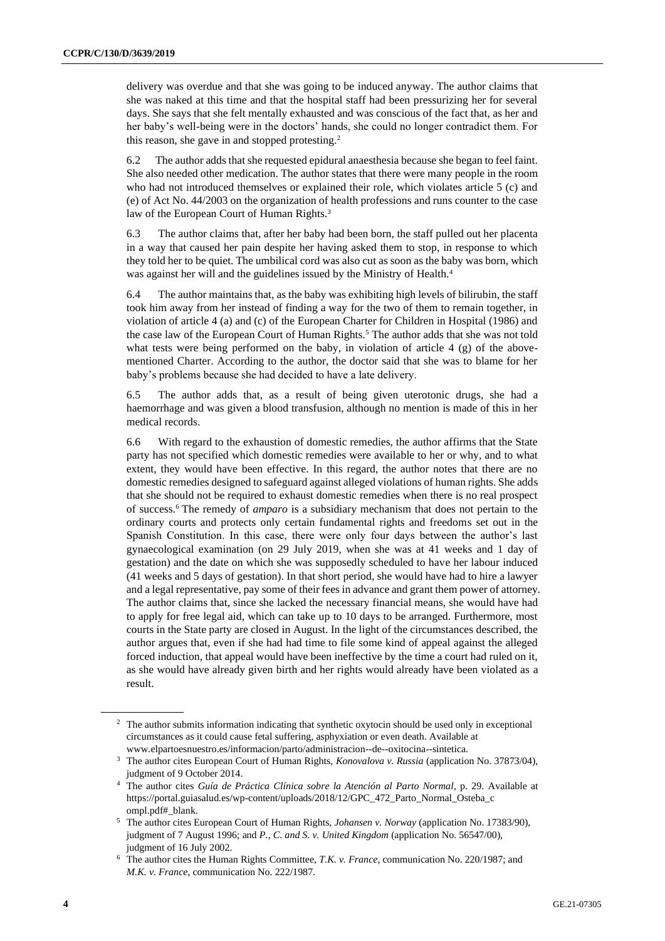delivery was overdue and that she was going to be induced anyway. The author claims that she was naked at this time and that the hospital staff had been pressurizing her for several days. She says that she felt mentally exhausted and was conscious of the fact that, as her and her baby's well-being were in the doctors' hands, she could no longer contradict them. For this reason, she gave in and stopped protesting.<sup>2</sup>

6.2 The author adds that she requested epidural anaesthesia because she began to feel faint. She also needed other medication. The author states that there were many people in the room who had not introduced themselves or explained their role, which violates article 5 (c) and (e) of Act No. 44/2003 on the organization of health professions and runs counter to the case law of the European Court of Human Rights.<sup>3</sup>

6.3 The author claims that, after her baby had been born, the staff pulled out her placenta in a way that caused her pain despite her having asked them to stop, in response to which they told her to be quiet. The umbilical cord was also cut as soon as the baby was born, which was against her will and the guidelines issued by the Ministry of Health.<sup>4</sup>

6.4 The author maintains that, as the baby was exhibiting high levels of bilirubin, the staff took him away from her instead of finding a way for the two of them to remain together, in violation of article 4 (a) and (c) of the European Charter for Children in Hospital (1986) and the case law of the European Court of Human Rights.<sup>5</sup> The author adds that she was not told what tests were being performed on the baby, in violation of article 4 (g) of the abovementioned Charter. According to the author, the doctor said that she was to blame for her baby's problems because she had decided to have a late delivery.

6.5 The author adds that, as a result of being given uterotonic drugs, she had a haemorrhage and was given a blood transfusion, although no mention is made of this in her medical records.

6.6 With regard to the exhaustion of domestic remedies, the author affirms that the State party has not specified which domestic remedies were available to her or why, and to what extent, they would have been effective. In this regard, the author notes that there are no domestic remedies designed to safeguard against alleged violations of human rights. She adds that she should not be required to exhaust domestic remedies when there is no real prospect of success.<sup>6</sup> The remedy of *amparo* is a subsidiary mechanism that does not pertain to the ordinary courts and protects only certain fundamental rights and freedoms set out in the Spanish Constitution. In this case, there were only four days between the author's last gynaecological examination (on 29 July 2019, when she was at 41 weeks and 1 day of gestation) and the date on which she was supposedly scheduled to have her labour induced (41 weeks and 5 days of gestation). In that short period, she would have had to hire a lawyer and a legal representative, pay some of their fees in advance and grant them power of attorney. The author claims that, since she lacked the necessary financial means, she would have had to apply for free legal aid, which can take up to 10 days to be arranged. Furthermore, most courts in the State party are closed in August. In the light of the circumstances described, the author argues that, even if she had had time to file some kind of appeal against the alleged forced induction, that appeal would have been ineffective by the time a court had ruled on it, as she would have already given birth and her rights would already have been violated as a result.

<sup>&</sup>lt;sup>2</sup> The author submits information indicating that synthetic oxytocin should be used only in exceptional circumstances as it could cause fetal suffering, asphyxiation or even death. Available at www.elpartoesnuestro.es/informacion/parto/administracion--de--oxitocina--sintetica.

<sup>3</sup> The author cites European Court of Human Rights, *Konovalova v. Russia* (application No. 37873/04), judgment of 9 October 2014.

<sup>4</sup> The author cites *Guía de Práctica Clínica sobre la Atención al Parto Normal*, p. 29. Available at https://portal.guiasalud.es/wp-content/uploads/2018/12/GPC\_472\_Parto\_Normal\_Osteba\_c ompl.pdf#\_blank.

<sup>5</sup> The author cites European Court of Human Rights, *Johansen v. Norway* (application No. 17383/90), judgment of 7 August 1996; and *P., C. and S. v. United Kingdom* (application No. 56547/00), judgment of 16 July 2002.

<sup>6</sup> The author cites the Human Rights Committee, *T.K. v. France*, communication No. 220/1987; and *M.K. v. France*, communication No. 222/1987.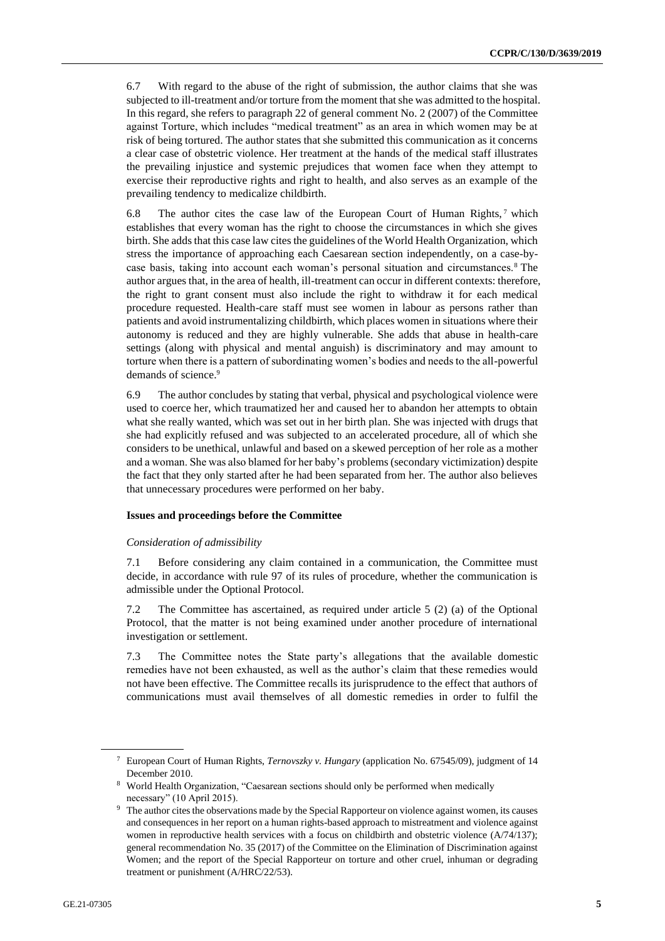6.7 With regard to the abuse of the right of submission, the author claims that she was subjected to ill-treatment and/or torture from the moment that she was admitted to the hospital. In this regard, she refers to paragraph 22 of general comment No. 2 (2007) of the Committee against Torture, which includes "medical treatment" as an area in which women may be at risk of being tortured. The author states that she submitted this communication as it concerns a clear case of obstetric violence. Her treatment at the hands of the medical staff illustrates the prevailing injustice and systemic prejudices that women face when they attempt to exercise their reproductive rights and right to health, and also serves as an example of the prevailing tendency to medicalize childbirth.

6.8 The author cites the case law of the European Court of Human Rights,<sup>7</sup> which establishes that every woman has the right to choose the circumstances in which she gives birth. She adds that this case law cites the guidelines of the World Health Organization, which stress the importance of approaching each Caesarean section independently, on a case-bycase basis, taking into account each woman's personal situation and circumstances.<sup>8</sup> The author argues that, in the area of health, ill-treatment can occur in different contexts: therefore, the right to grant consent must also include the right to withdraw it for each medical procedure requested. Health-care staff must see women in labour as persons rather than patients and avoid instrumentalizing childbirth, which places women in situations where their autonomy is reduced and they are highly vulnerable. She adds that abuse in health-care settings (along with physical and mental anguish) is discriminatory and may amount to torture when there is a pattern of subordinating women's bodies and needs to the all-powerful demands of science. 9

6.9 The author concludes by stating that verbal, physical and psychological violence were used to coerce her, which traumatized her and caused her to abandon her attempts to obtain what she really wanted, which was set out in her birth plan. She was injected with drugs that she had explicitly refused and was subjected to an accelerated procedure, all of which she considers to be unethical, unlawful and based on a skewed perception of her role as a mother and a woman. She was also blamed for her baby's problems (secondary victimization) despite the fact that they only started after he had been separated from her. The author also believes that unnecessary procedures were performed on her baby.

#### **Issues and proceedings before the Committee**

#### *Consideration of admissibility*

7.1 Before considering any claim contained in a communication, the Committee must decide, in accordance with rule 97 of its rules of procedure, whether the communication is admissible under the Optional Protocol.

7.2 The Committee has ascertained, as required under article 5 (2) (a) of the Optional Protocol, that the matter is not being examined under another procedure of international investigation or settlement.

7.3 The Committee notes the State party's allegations that the available domestic remedies have not been exhausted, as well as the author's claim that these remedies would not have been effective. The Committee recalls its jurisprudence to the effect that authors of communications must avail themselves of all domestic remedies in order to fulfil the

<sup>7</sup> European Court of Human Rights, *Ternovszky v. Hungary* (application No. 67545/09), judgment of 14 December 2010.

<sup>8</sup> World Health Organization, "Caesarean sections should only be performed when medically necessary" (10 April 2015).

<sup>&</sup>lt;sup>9</sup> The author cites the observations made by the Special Rapporteur on violence against women, its causes and consequences in her report on a human rights-based approach to mistreatment and violence against women in reproductive health services with a focus on childbirth and obstetric violence (A/74/137); general recommendation No. 35 (2017) of the Committee on the Elimination of Discrimination against Women; and the report of the Special Rapporteur on torture and other cruel, inhuman or degrading treatment or punishment (A/HRC/22/53).